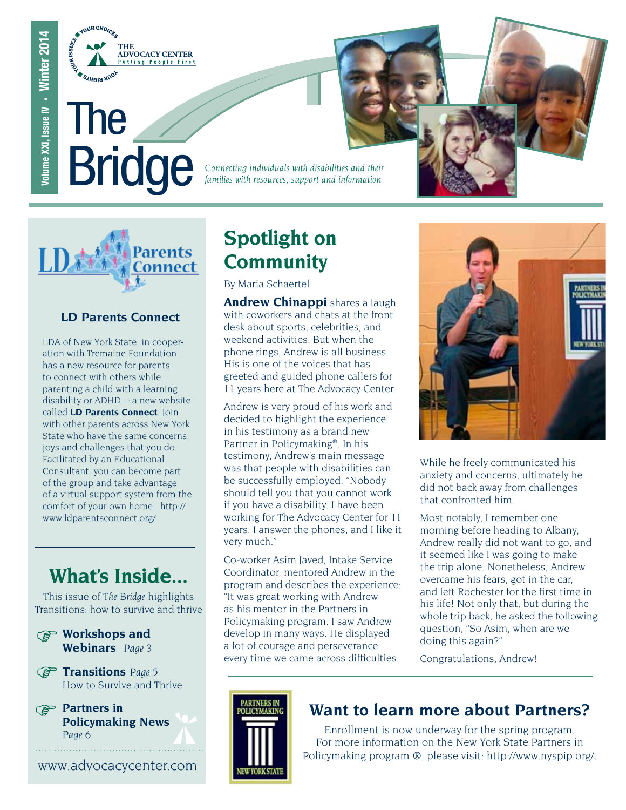

The **Bridge** 

*Connecting individuals with disabilities and their families with resources, support and information*



### **LD Parents Connect**

LDA of New York State, in cooperation with Tremaine Foundation, has a new resource for parents to connect with others while parenting a child with a learning disability or ADHD -- a new website called **LD Parents Connect**. Join with other parents across New York State who have the same concerns, joys and challenges that you do. Facilitated by an Educational Consultant, you can become part of the group and take advantage of a virtual support system from the comfort of your own home. http:// www.ldparentsconnect.org/

### **What's Inside...**

This issue of *The Bridge* highlights Transitions: how to survive and thrive

- **Workshops and Webinars** *Page 3*
- **Transitions** *Page 5* How to Survive and Thrive
- **Partners in Policymaking News** *Page 6*

www.advocacycenter.com

### **Spotlight on Community**

By Maria Schaertel

**Andrew Chinappi** shares a laugh with coworkers and chats at the front desk about sports, celebrities, and weekend activities. But when the phone rings, Andrew is all business. His is one of the voices that has greeted and guided phone callers for 11 years here at The Advocacy Center.

Andrew is very proud of his work and decided to highlight the experience in his testimony as a brand new Partner in Policymaking®. In his testimony, Andrew's main message was that people with disabilities can be successfully employed. "Nobody should tell you that you cannot work if you have a disability. I have been working for The Advocacy Center for 11 years. I answer the phones, and I like it very much."

Co-worker Asim Javed, Intake Service Coordinator, mentored Andrew in the program and describes the experience: "It was great working with Andrew as his mentor in the Partners in Policymaking program. I saw Andrew develop in many ways. He displayed a lot of courage and perseverance every time we came across difficulties.



While he freely communicated his anxiety and concerns, ultimately he did not back away from challenges that confronted him.

Most notably, I remember one morning before heading to Albany, Andrew really did not want to go, and it seemed like I was going to make the trip alone. Nonetheless, Andrew overcame his fears, got in the car, and left Rochester for the first time in his life! Not only that, but during the whole trip back, he asked the following question, "So Asim, when are we doing this again?"

Congratulations, Andrew!

### **Want to learn more about Partners?**

Enrollment is now underway for the spring program. For more information on the New York State Partners in Policymaking program ®, please visit: http://www.nyspip.org/.

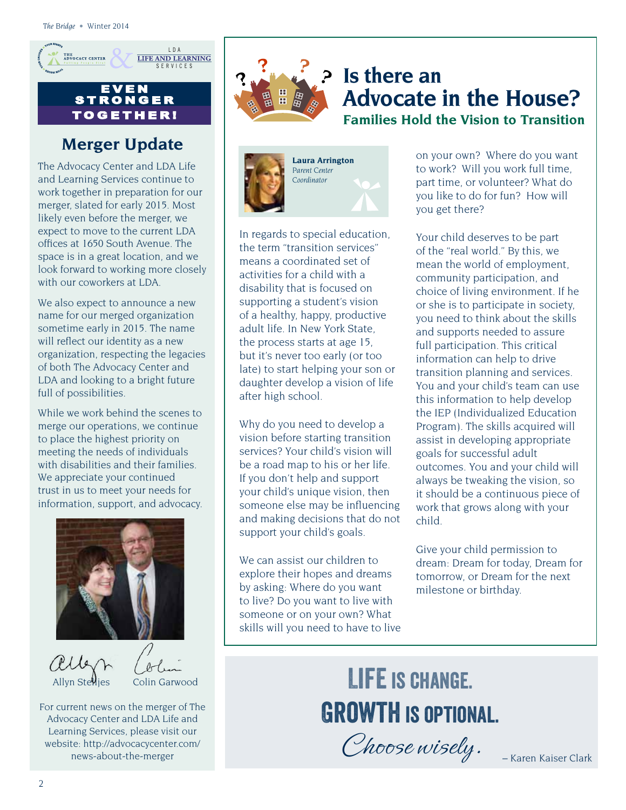

#### E V E N **STRONG** TO G E T H E R !

### **Merger Update**

The Advocacy Center and LDA Life and Learning Services continue to work together in preparation for our merger, slated for early 2015. Most likely even before the merger, we expect to move to the current LDA offices at 1650 South Avenue. The space is in a great location, and we look forward to working more closely with our coworkers at LDA.

We also expect to announce a new name for our merged organization sometime early in 2015. The name will reflect our identity as a new organization, respecting the legacies of both The Advocacy Center and LDA and looking to a bright future full of possibilities.

While we work behind the scenes to merge our operations, we continue to place the highest priority on meeting the needs of individuals with disabilities and their families. We appreciate your continued trust in us to meet your needs for information, support, and advocacy.



aller

Allyn Stelljes Colin Garwood

For current news on the merger of The Advocacy Center and LDA Life and Learning Services, please visit our website: http://advocacycenter.com/ news-about-the-merger



### **Is there an Advocate in the House? Families Hold the Vision to Transition**



In regards to special education, the term "transition services" means a coordinated set of activities for a child with a disability that is focused on supporting a student's vision of a healthy, happy, productive adult life. In New York State, the process starts at age 15, but it's never too early (or too late) to start helping your son or daughter develop a vision of life after high school.

Why do you need to develop a vision before starting transition services? Your child's vision will be a road map to his or her life. If you don't help and support your child's unique vision, then someone else may be influencing and making decisions that do not support your child's goals.

We can assist our children to explore their hopes and dreams by asking: Where do you want to live? Do you want to live with someone or on your own? What skills will you need to have to live

on your own? Where do you want to work? Will you work full time, part time, or volunteer? What do you like to do for fun? How will you get there?

Your child deserves to be part of the "real world." By this, we mean the world of employment, community participation, and choice of living environment. If he or she is to participate in society, you need to think about the skills and supports needed to assure full participation. This critical information can help to drive transition planning and services. You and your child's team can use this information to help develop the IEP (Individualized Education Program). The skills acquired will assist in developing appropriate goals for successful adult outcomes. You and your child will always be tweaking the vision, so it should be a continuous piece of work that grows along with your child.

Give your child permission to dream: Dream for today, Dream for tomorrow, or Dream for the next milestone or birthday.

# LIFE IS CHANGE. GROWTH IS OPTIONAL.

Choose wisely.<br>- Karen Kaiser Clark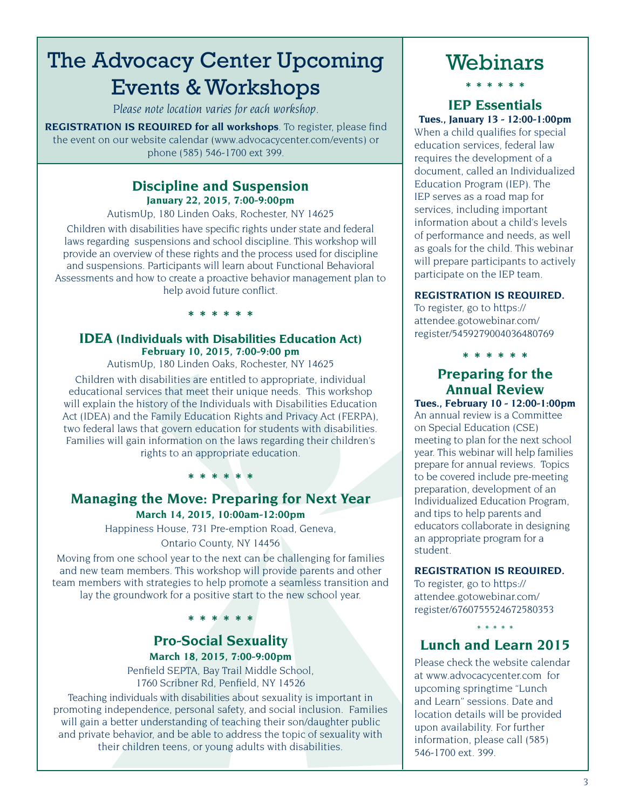### The Advocacy Center Upcoming Events & Workshops

*Please note location varies for each workshop.* 

**REGISTRATION IS REQUIRED for all workshops**. To register, please find the event on our website calendar (www.advocacycenter.com/events) or phone (585) 546-1700 ext 399.

#### **Discipline and Suspension January 22, 2015, 7:00-9:00pm**

AutismUp, 180 Linden Oaks, Rochester, NY 14625

Children with disabilities have specific rights under state and federal laws regarding suspensions and school discipline. This workshop will provide an overview of these rights and the process used for discipline and suspensions. Participants will learn about Functional Behavioral Assessments and how to create a proactive behavior management plan to help avoid future conflict.

#### **IDEA (Individuals with Disabilities Education Act) February 10, 2015, 7:00-9:00 pm**

**\* \* \* \* \* \*** 

AutismUp, 180 Linden Oaks, Rochester, NY 14625

Children with disabilities are entitled to appropriate, individual educational services that meet their unique needs. This workshop will explain the history of the Individuals with Disabilities Education Act (IDEA) and the Family Education Rights and Privacy Act (FERPA), two federal laws that govern education for students with disabilities. Families will gain information on the laws regarding their children's rights to an appropriate education.

### **Managing the Move: Preparing for Next Year March 14, 2015, 10:00am-12:00pm**

**\* \* \* \* \* \*** 

Happiness House, 731 Pre-emption Road, Geneva, Ontario County, NY 14456

Moving from one school year to the next can be challenging for families and new team members. This workshop will provide parents and other team members with strategies to help promote a seamless transition and lay the groundwork for a positive start to the new school year.

**\* \* \* \* \* \*** 

### **Pro-Social Sexuality**

**March 18, 2015, 7:00-9:00pm** Penfield SEPTA, Bay Trail Middle School, 1760 Scribner Rd, Penfield, NY 14526

Teaching individuals with disabilities about sexuality is important in promoting independence, personal safety, and social inclusion. Families will gain a better understanding of teaching their son/daughter public and private behavior, and be able to address the topic of sexuality with their children teens, or young adults with disabilities.

### Webinars

**\* \* \* \* \* \***

#### **IEP Essentials Tues., January 13 - 12:00-1:00pm**

When a child qualifies for special education services, federal law requires the development of a document, called an Individualized Education Program (IEP). The IEP serves as a road map for services, including important information about a child's levels of performance and needs, as well as goals for the child. This webinar will prepare participants to actively participate on the IEP team.

#### **REGISTRATION IS REQUIRED.**

To register, go to https:// attendee.gotowebinar.com/ register/5459279004036480769

**\* \* \* \* \* \*** 

### **Preparing for the Annual Review**

**Tues., February 10 - 12:00-1:00pm** An annual review is a Committee on Special Education (CSE) meeting to plan for the next school year. This webinar will help families prepare for annual reviews. Topics to be covered include pre-meeting preparation, development of an Individualized Education Program, and tips to help parents and educators collaborate in designing an appropriate program for a student.

#### **REGISTRATION IS REQUIRED.**

To register, go to https:// attendee.gotowebinar.com/ register/6760755524672580353

### \* \* \* \* \* **Lunch and Learn 2015**

Please check the website calendar at www.advocacycenter.com for upcoming springtime "Lunch and Learn" sessions. Date and location details will be provided upon availability. For further information, please call (585) 546-1700 ext. 399.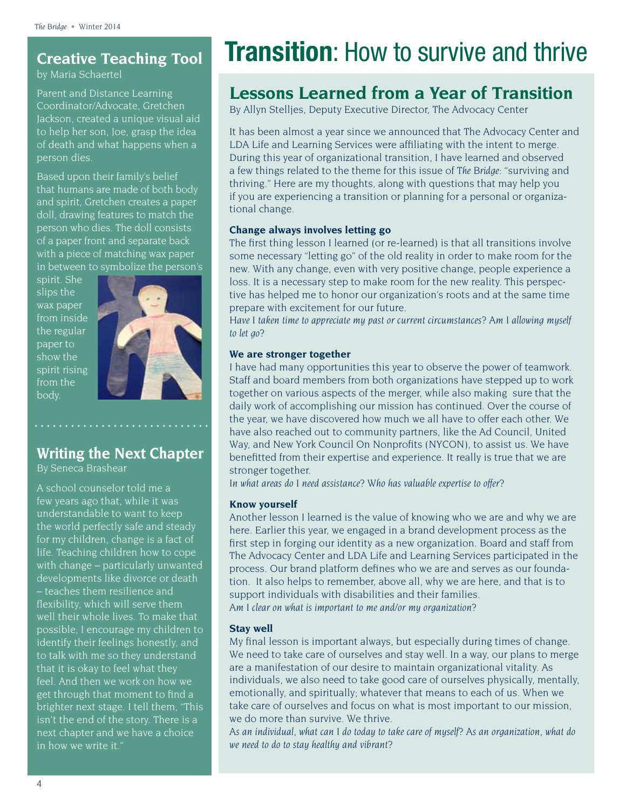### **Creative Teaching Tool**

by Maria Schaertel

Parent and Distance Learning Coordinator/Advocate, Gretchen Jackson, created a unique visual aid to help her son, Joe, grasp the idea of death and what happens when a person dies.

Based upon their family's belief that humans are made of both body and spirit, Gretchen creates a paper doll, drawing features to match the person who dies. The doll consists of a paper front and separate back with a piece of matching wax paper in between to symbolize the person's

spirit. She slips the wax paper from inside the regular paper to show the spirit rising from the body.



### **Writing the Next Chapter**

By Seneca Brashear

A school counselor told me a few years ago that, while it was understandable to want to keep the world perfectly safe and steady for my children, change is a fact of life. Teaching children how to cope with change – particularly unwanted developments like divorce or death – teaches them resilience and flexibility, which will serve them well their whole lives. To make that possible, I encourage my children to identify their feelings honestly, and to talk with me so they understand that it is okay to feel what they feel. And then we work on how we get through that moment to find a brighter next stage. I tell them, "This isn't the end of the story. There is a next chapter and we have a choice in how we write it."

## **Transition:** How to survive and thrive

### **Lessons Learned from a Year of Transition**

By Allyn Stelljes, Deputy Executive Director, The Advocacy Center

It has been almost a year since we announced that The Advocacy Center and LDA Life and Learning Services were affiliating with the intent to merge. During this year of organizational transition, I have learned and observed a few things related to the theme for this issue of *The Bridge*: "surviving and thriving." Here are my thoughts, along with questions that may help you if you are experiencing a transition or planning for a personal or organizational change.

#### **Change always involves letting go**

The first thing lesson I learned (or re-learned) is that all transitions involve some necessary "letting go" of the old reality in order to make room for the new. With any change, even with very positive change, people experience a loss. It is a necessary step to make room for the new reality. This perspective has helped me to honor our organization's roots and at the same time prepare with excitement for our future.

*Have I taken time to appreciate my past or current circumstances? Am I allowing myself to let go?* 

#### **We are stronger together**

I have had many opportunities this year to observe the power of teamwork. Staff and board members from both organizations have stepped up to work together on various aspects of the merger, while also making sure that the daily work of accomplishing our mission has continued. Over the course of the year, we have discovered how much we all have to offer each other. We have also reached out to community partners, like the Ad Council, United Way, and New York Council On Nonprofits (NYCON), to assist us. We have benefitted from their expertise and experience. It really is true that we are stronger together.

*In what areas do I need assistance? Who has valuable expertise to offer?* 

#### **Know yourself**

Another lesson I learned is the value of knowing who we are and why we are here. Earlier this year, we engaged in a brand development process as the first step in forging our identity as a new organization. Board and staff from The Advocacy Center and LDA Life and Learning Services participated in the process. Our brand platform defines who we are and serves as our foundation. It also helps to remember, above all, why we are here, and that is to support individuals with disabilities and their families. *Am I clear on what is important to me and/or my organization?* 

#### **Stay well**

My final lesson is important always, but especially during times of change. We need to take care of ourselves and stay well. In a way, our plans to merge are a manifestation of our desire to maintain organizational vitality. As individuals, we also need to take good care of ourselves physically, mentally, emotionally, and spiritually; whatever that means to each of us. When we take care of ourselves and focus on what is most important to our mission, we do more than survive. We thrive.

*As an individual, what can I do today to take care of myself? As an organization, what do we need to do to stay healthy and vibrant?*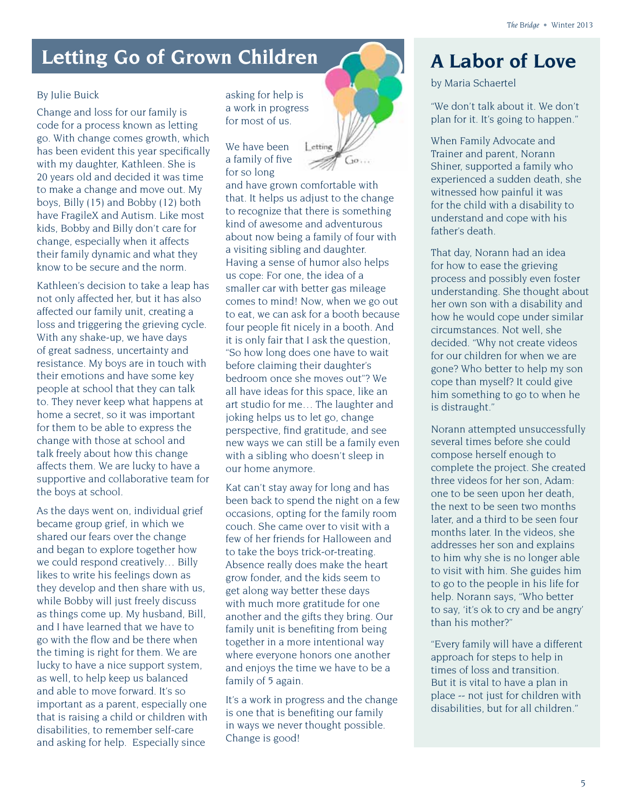### Letting Go of Grown Children **A Labor of Love**

#### By Julie Buick

Change and loss for our family is code for a process known as letting go. With change comes growth, which has been evident this year specifically with my daughter, Kathleen. She is 20 years old and decided it was time to make a change and move out. My boys, Billy (15) and Bobby (12) both have FragileX and Autism. Like most kids, Bobby and Billy don't care for change, especially when it affects their family dynamic and what they know to be secure and the norm.

Kathleen's decision to take a leap has not only affected her, but it has also affected our family unit, creating a loss and triggering the grieving cycle. With any shake-up, we have days of great sadness, uncertainty and resistance. My boys are in touch with their emotions and have some key people at school that they can talk to. They never keep what happens at home a secret, so it was important for them to be able to express the change with those at school and talk freely about how this change affects them. We are lucky to have a supportive and collaborative team for the boys at school.

As the days went on, individual grief became group grief, in which we shared our fears over the change and began to explore together how we could respond creatively… Billy likes to write his feelings down as they develop and then share with us, while Bobby will just freely discuss as things come up. My husband, Bill, and I have learned that we have to go with the flow and be there when the timing is right for them. We are lucky to have a nice support system, as well, to help keep us balanced and able to move forward. It's so important as a parent, especially one that is raising a child or children with disabilities, to remember self-care and asking for help. Especially since

asking for help is a work in progress for most of us.

We have been a family of five for so long



and have grown comfortable with that. It helps us adjust to the change to recognize that there is something kind of awesome and adventurous about now being a family of four with a visiting sibling and daughter. Having a sense of humor also helps us cope: For one, the idea of a smaller car with better gas mileage comes to mind! Now, when we go out to eat, we can ask for a booth because four people fit nicely in a booth. And it is only fair that I ask the question, "So how long does one have to wait before claiming their daughter's bedroom once she moves out"? We all have ideas for this space, like an art studio for me… The laughter and joking helps us to let go, change perspective, find gratitude, and see new ways we can still be a family even with a sibling who doesn't sleep in our home anymore.

Kat can't stay away for long and has been back to spend the night on a few occasions, opting for the family room couch. She came over to visit with a few of her friends for Halloween and to take the boys trick-or-treating. Absence really does make the heart grow fonder, and the kids seem to get along way better these days with much more gratitude for one another and the gifts they bring. Our family unit is benefiting from being together in a more intentional way where everyone honors one another and enjoys the time we have to be a family of 5 again.

It's a work in progress and the change is one that is benefiting our family in ways we never thought possible. Change is good!

by Maria Schaertel

"We don't talk about it. We don't plan for it. It's going to happen."

When Family Advocate and Trainer and parent, Norann Shiner, supported a family who experienced a sudden death, she witnessed how painful it was for the child with a disability to understand and cope with his father's death.

That day, Norann had an idea for how to ease the grieving process and possibly even foster understanding. She thought about her own son with a disability and how he would cope under similar circumstances. Not well, she decided. "Why not create videos for our children for when we are gone? Who better to help my son cope than myself? It could give him something to go to when he is distraught."

Norann attempted unsuccessfully several times before she could compose herself enough to complete the project. She created three videos for her son, Adam: one to be seen upon her death, the next to be seen two months later, and a third to be seen four months later. In the videos, she addresses her son and explains to him why she is no longer able to visit with him. She guides him to go to the people in his life for help. Norann says, "Who better to say, 'it's ok to cry and be angry' than his mother?"

"Every family will have a different approach for steps to help in times of loss and transition. But it is vital to have a plan in place -- not just for children with disabilities, but for all children."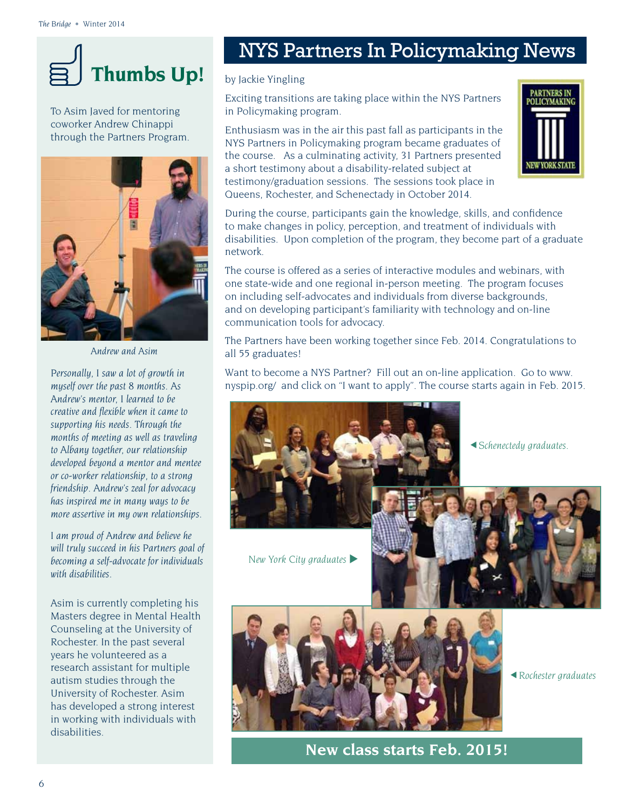

To Asim Javed for mentoring coworker Andrew Chinappi through the Partners Program.



*Andrew and Asim*

*Personally, I saw a lot of growth in myself over the past 8 months. As Andrew's mentor, I learned to be creative and flexible when it came to supporting his needs. Through the months of meeting as well as traveling to Albany together, our relationship developed beyond a mentor and mentee or co-worker relationship, to a strong friendship. Andrew's zeal for advocacy has inspired me in many ways to be more assertive in my own relationships.*

*I am proud of Andrew and believe he will truly succeed in his Partners goal of becoming a self-advocate for individuals with disabilities.*

Asim is currently completing his Masters degree in Mental Health Counseling at the University of Rochester. In the past several years he volunteered as a research assistant for multiple autism studies through the University of Rochester. Asim has developed a strong interest in working with individuals with disabilities.

### NYS Partners In Policymaking News

#### by Jackie Yingling

Exciting transitions are taking place within the NYS Partners in Policymaking program.

Enthusiasm was in the air this past fall as participants in the NYS Partners in Policymaking program became graduates of the course. As a culminating activity, 31 Partners presented a short testimony about a disability-related subject at testimony/graduation sessions. The sessions took place in Queens, Rochester, and Schenectady in October 2014.



During the course, participants gain the knowledge, skills, and confidence to make changes in policy, perception, and treatment of individuals with disabilities. Upon completion of the program, they become part of a graduate network.

The course is offered as a series of interactive modules and webinars, with one state-wide and one regional in-person meeting. The program focuses on including self-advocates and individuals from diverse backgrounds, and on developing participant's familiarity with technology and on-line communication tools for advocacy.

The Partners have been working together since Feb. 2014. Congratulations to all 55 graduates!

Want to become a NYS Partner? Fill out an on-line application. Go to www. nyspip.org/ and click on "I want to apply". The course starts again in Feb. 2015.



*Schenectedy graduates.* 

**New York City graduates** 



*Rochester graduates* 

**New class starts Feb. 2015!**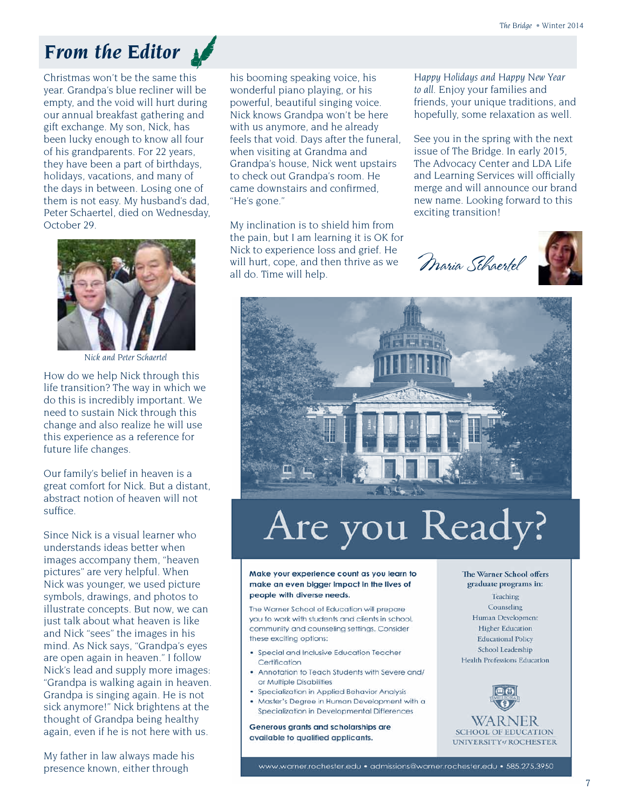### *From the Editor*

Christmas won't be the same this year. Grandpa's blue recliner will be empty, and the void will hurt during our annual breakfast gathering and gift exchange. My son, Nick, has been lucky enough to know all four of his grandparents. For 22 years, they have been a part of birthdays, holidays, vacations, and many of the days in between. Losing one of them is not easy. My husband's dad, Peter Schaertel, died on Wednesday, October 29.



*Nick and Peter Schaertel*

How do we help Nick through this life transition? The way in which we do this is incredibly important. We need to sustain Nick through this change and also realize he will use this experience as a reference for future life changes.

Our family's belief in heaven is a great comfort for Nick. But a distant, abstract notion of heaven will not suffice.

Since Nick is a visual learner who understands ideas better when images accompany them, "heaven pictures" are very helpful. When Nick was younger, we used picture symbols, drawings, and photos to illustrate concepts. But now, we can just talk about what heaven is like and Nick "sees" the images in his mind. As Nick says, "Grandpa's eyes are open again in heaven." I follow Nick's lead and supply more images: "Grandpa is walking again in heaven. Grandpa is singing again. He is not sick anymore!" Nick brightens at the thought of Grandpa being healthy again, even if he is not here with us.

My father in law always made his presence known, either through

his booming speaking voice, his wonderful piano playing, or his powerful, beautiful singing voice. Nick knows Grandpa won't be here with us anymore, and he already feels that void. Days after the funeral, when visiting at Grandma and Grandpa's house, Nick went upstairs to check out Grandpa's room. He came downstairs and confirmed, "He's gone."

My inclination is to shield him from the pain, but I am learning it is OK for Nick to experience loss and grief. He will hurt, cope, and then thrive as we all do. Time will help.

*Happy Holidays and Happy New Year to all.* Enjoy your families and friends, your unique traditions, and hopefully, some relaxation as well.

See you in the spring with the next issue of The Bridge. In early 2015, The Advocacy Center and LDA Life and Learning Services will officially merge and will announce our brand new name. Looking forward to this exciting transition!

Maria Schaertel





# Are you Ready?

Make your experience count as you learn to make an even bigger impact in the lives of people with diverse needs.

The Warner School of Education will prepare you to work with students and clients in school, community and counseling settings. Consider these exciting options:

- Special and Inclusive Education Teacher Certification
- Annotation to Teach Students with Severe and/ or Multiple Disabilities
- Specialization in Applied Behavior Analysis
- · Master's Degree in Human Development with a Specialization in Developmental Differences

Generous grants and scholarships are available to qualified applicants.

The Warner School offers graduate programs in: Teaching Counseling Human Development **Higher Education Educational Policy** School Leadership Health Professions Education



www.warner.rochester.edu · admissions@warner.rochester.edu · 585.275.3950